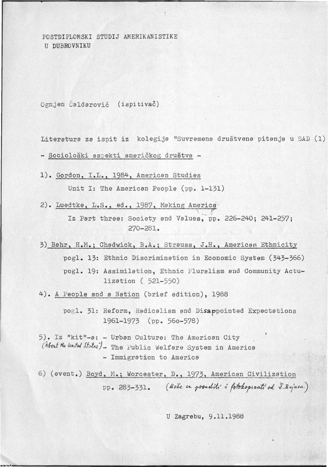POSTDIPLOMSKI STUDIJ AMERIKANISTIKE U DUBROVNIKU

Ognjen 6aldarovic (ispitivac)

Literature za ispit iz kolegija "Suvremena drustvena pitanja u SAD (l)

- Sociološki aspekti američkog društva -

1). Gordon, I.L., 1984, American Studies

Unit I: The American People (pp. 1-131)

2). Luedtke, L.S., ed., 1987, Making America<sup>.</sup>

Iz Part three: Society and Values, pp. 226-240; 241-257; 270-281.

3) Bahr, H.M.; Chadwick, B.A.; Strauss, J.H., American Ethnicity pogl. 13: Ethnic Discrimination in Economic System (343-366) pogl. 19: Assimilation, Ethnic Pluralism and Community Actulization ( 521-550)

4). A People and a Nation (brief edition), 1988

pogl. 31: Reform, Radicalism and Disappointed Expectations 1961-1973 (pp. 56o-578)

- 5). Iz "kit"-a: -Urban Culture: The American City (About the United States") - The Public Welfare System in America - Immigration to America
- 6) (event.) Boyd , M.; Worcester, D., 1973, American Civilization pp. 283-331. *(Noze se posaditi i fotokopizati od Z.Bujasa.)*

U Zagrebu, 9.11.1988